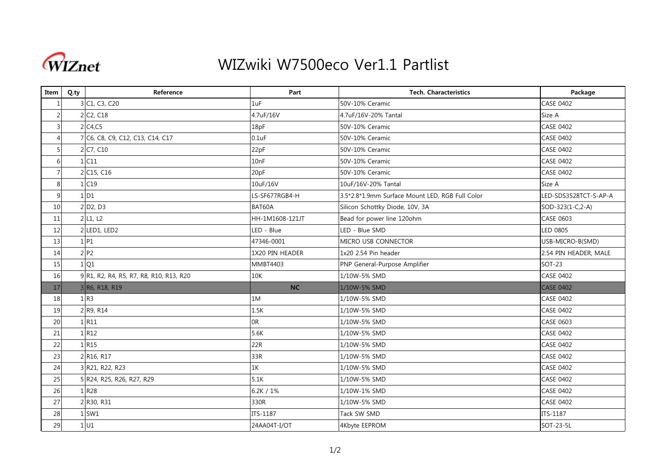

## WIZwiki W7500eco Ver1.1 Partlist

| Item           | Q.ty | Reference                               | Part            | <b>Tech. Characteristics</b>                    | Package               |
|----------------|------|-----------------------------------------|-----------------|-------------------------------------------------|-----------------------|
|                |      | 3 C1, C3, C20                           | 1uF             | 50V-10% Ceramic                                 | <b>CASE 0402</b>      |
| $\overline{2}$ |      | 2 C <sub>2</sub> , C <sub>18</sub>      | 4.7uF/16V       | 4.7uF/16V-20% Tantal                            | Size A                |
| $\overline{3}$ |      | 2 C <sub>4</sub> , C <sub>5</sub>       | 18pF            | 50V-10% Ceramic                                 | <b>CASE 0402</b>      |
| $\overline{4}$ |      | 7 C6, C8, C9, C12, C13, C14, C17        | $0.1$ u $F$     | 50V-10% Ceramic                                 | <b>CASE 0402</b>      |
| 5 <sub>l</sub> |      | 2 C7, C10                               | 22pF            | 50V-10% Ceramic                                 | <b>CASE 0402</b>      |
| 6              |      | $1$ C11                                 | 10nF            | 50V-10% Ceramic                                 | CASE 0402             |
| $\overline{7}$ |      | 2 C15, C16                              | 20pF            | 50V-10% Ceramic                                 | <b>CASE 0402</b>      |
| 8              |      | 1 C19                                   | 10uF/16V        | 10uF/16V-20% Tantal                             | Size A                |
| 9              |      | 1 <sub>D1</sub>                         | LS-SF677RGB4-H  | 3.5*2.8*1.9mm Surface Mount LED, RGB Full Color | LED-SDS3528TCT-S-AP-A |
| 10             |      | 2 D <sub>2</sub> , D <sub>3</sub>       | BAT60A          | Silicon Schottky Diode, 10V, 3A                 | SOD-323(1-C,2-A)      |
| 11             |      | $2$ L <sub>1</sub> , L <sub>2</sub>     | HH-1M1608-121JT | Bead for power line 120ohm                      | <b>CASE 0603</b>      |
| 12             |      | 2 LED1, LED2                            | LED - Blue      | LED - Blue SMD                                  | LED 0805              |
| 13             |      | $1$ P1                                  | 47346-0001      | MICRO USB CONNECTOR                             | USB-MICRO-B(SMD)      |
| 14             |      | 2P2                                     | 1X20 PIN HEADER | 1x20 2.54 Pin header                            | 2.54 PIN HEADER, MALE |
| 15             |      | 1 Q1                                    | MMBT4403        | PNP General-Purpose Amplifier                   | <b>SOT-23</b>         |
| 16             |      | 9 R1, R2, R4, R5, R7, R8, R10, R13, R20 | 10K             | 1/10W-5% SMD                                    | <b>CASE 0402</b>      |
| 17             |      | 3 R6, R18, R19                          | <b>NC</b>       | 1/10W-5% SMD                                    | <b>CASE 0402</b>      |
| 18             |      | 1 R3                                    | 1M              | 1/10W-5% SMD                                    | <b>CASE 0402</b>      |
| 19             |      | 2 R9, R14                               | 1.5K            | 1/10W-5% SMD                                    | <b>CASE 0402</b>      |
| 20             |      | 1 R11                                   | 0R              | 1/10W-5% SMD                                    | CASE 0603             |
| 21             |      | 1 R12                                   | 5.6K            | 1/10W-5% SMD                                    | <b>CASE 0402</b>      |
| 22             |      | 1R15                                    | 22R             | 1/10W-5% SMD                                    | <b>CASE 0402</b>      |
| 23             |      | 2 R16, R17                              | 33R             | 1/10W-5% SMD                                    | <b>CASE 0402</b>      |
| 24             |      | 3 R21, R22, R23                         | 1K              | 1/10W-5% SMD                                    | <b>CASE 0402</b>      |
| 25             |      | 5 R24, R25, R26, R27, R29               | 5.1K            | 1/10W-5% SMD                                    | <b>CASE 0402</b>      |
| 26             |      | 1 R28                                   | 6.2K / $1\%$    | 1/10W-1% SMD                                    | CASE 0402             |
| 27             |      | 2 R30, R31                              | 330R            | 1/10W-5% SMD                                    | <b>CASE 0402</b>      |
| 28             |      | $1$ SW1                                 | ITS-1187        | Tack SW SMD                                     | ITS-1187              |
| 29             |      | 1 <sub>U1</sub>                         | 24AA04T-I/OT    | 4Kbyte EEPROM                                   | SOT-23-5L             |